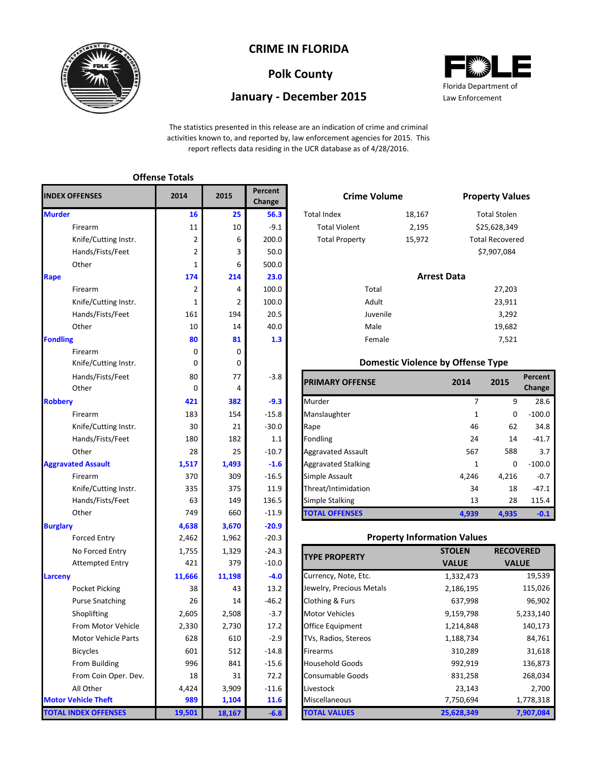

## **CRIME IN FLORIDA**

# **Polk County**

## **January - December 2015**



The statistics presented in this release are an indication of crime and criminal activities known to, and reported by, law enforcement agencies for 2015. This report reflects data residing in the UCR database as of 4/28/2016.

|                             | <b>Offense Totals</b> |        |                   |                            |                                          |                |                     |
|-----------------------------|-----------------------|--------|-------------------|----------------------------|------------------------------------------|----------------|---------------------|
| <b>INDEX OFFENSES</b>       | 2014                  | 2015   | Percent<br>Change | <b>Crime Volume</b>        |                                          |                | <b>Property Val</b> |
| <b>Murder</b>               | 16                    | 25     | 56.3              | <b>Total Index</b>         | 18,167                                   |                | <b>Total Stolen</b> |
| Firearm                     | 11                    | 10     | $-9.1$            | <b>Total Violent</b>       | 2,195                                    |                | \$25,628,349        |
| Knife/Cutting Instr.        | 2                     | 6      | 200.0             | <b>Total Property</b>      | 15,972                                   |                | Total Recover       |
| Hands/Fists/Feet            | 2                     | 3      | 50.0              |                            |                                          |                | \$7,907,084         |
| Other                       | $\mathbf{1}$          | 6      | 500.0             |                            |                                          |                |                     |
| Rape                        | 174                   | 214    | 23.0              |                            | <b>Arrest Data</b>                       |                |                     |
| Firearm                     | 2                     | 4      | 100.0             | Total                      |                                          |                | 27,203              |
| Knife/Cutting Instr.        | $\mathbf{1}$          | 2      | 100.0             | Adult                      |                                          |                | 23,911              |
| Hands/Fists/Feet            | 161                   | 194    | 20.5              | Juvenile                   |                                          |                | 3,292               |
| Other                       | 10                    | 14     | 40.0              | Male                       |                                          |                | 19,682              |
| <b>Fondling</b>             | 80                    | 81     | 1.3               | Female                     |                                          |                | 7,521               |
| Firearm                     | 0                     | 0      |                   |                            |                                          |                |                     |
| Knife/Cutting Instr.        | 0                     | 0      |                   |                            | <b>Domestic Violence by Offense Type</b> |                |                     |
| Hands/Fists/Feet            | 80                    | 77     | $-3.8$            | <b>PRIMARY OFFENSE</b>     |                                          | 2014           | 2015                |
| Other                       | 0                     | 4      |                   |                            |                                          |                |                     |
| <b>Robbery</b>              | 421                   | 382    | $-9.3$            | Murder                     |                                          | $\overline{7}$ | 9                   |
| Firearm                     | 183                   | 154    | $-15.8$           | Manslaughter               |                                          | $\mathbf{1}$   | 0                   |
| Knife/Cutting Instr.        | 30                    | 21     | $-30.0$           | Rape                       |                                          | 46             | 62                  |
| Hands/Fists/Feet            | 180                   | 182    | 1.1               | Fondling                   |                                          | 24             | 14                  |
| Other                       | 28                    | 25     | $-10.7$           | Aggravated Assault         |                                          | 567            | 588                 |
| <b>Aggravated Assault</b>   | 1,517                 | 1,493  | $-1.6$            | <b>Aggravated Stalking</b> |                                          | 1              | 0                   |
| Firearm                     | 370                   | 309    | $-16.5$           | Simple Assault             |                                          | 4,246          | 4,216               |
| Knife/Cutting Instr.        | 335                   | 375    | 11.9              | Threat/Intimidation        |                                          | 34             | 18                  |
| Hands/Fists/Feet            | 63                    | 149    | 136.5             | Simple Stalking            |                                          | 13             | 28                  |
| Other                       | 749                   | 660    | $-11.9$           | <b>TOTAL OFFENSES</b>      |                                          | 4,939          | 4,935               |
| <b>Burglary</b>             | 4,638                 | 3,670  | $-20.9$           |                            |                                          |                |                     |
| <b>Forced Entry</b>         | 2,462                 | 1,962  | $-20.3$           |                            | <b>Property Information Values</b>       |                |                     |
| No Forced Entry             | 1,755                 | 1,329  | $-24.3$           | <b>TYPE PROPERTY</b>       |                                          | <b>STOLEN</b>  | <b>RECO</b>         |
| <b>Attempted Entry</b>      | 421                   | 379    | $-10.0$           |                            |                                          | <b>VALUE</b>   | <b>VAI</b>          |
| Larceny                     | 11,666                | 11,198 | $-4.0$            | Currency, Note, Etc.       |                                          | 1,332,473      |                     |
| <b>Pocket Picking</b>       | 38                    | 43     | 13.2              | Jewelry, Precious Metals   |                                          | 2,186,195      |                     |
| <b>Purse Snatching</b>      | 26                    | 14     | $-46.2$           | Clothing & Furs            |                                          | 637,998        |                     |
| Shoplifting                 | 2,605                 | 2,508  | $-3.7$            | <b>Motor Vehicles</b>      |                                          | 9,159,798      |                     |
| From Motor Vehicle          | 2,330                 | 2,730  | 17.2              | Office Equipment           |                                          | 1,214,848      |                     |
| Motor Vehicle Parts         | 628                   | 610    | $-2.9$            | TVs, Radios, Stereos       |                                          | 1,188,734      |                     |
| <b>Bicycles</b>             | 601                   | 512    | $-14.8$           | Firearms                   |                                          | 310,289        |                     |
| From Building               | 996                   | 841    | $-15.6$           | <b>Household Goods</b>     |                                          | 992,919        |                     |
| From Coin Oper. Dev.        | 18                    | 31     | 72.2              | <b>Consumable Goods</b>    |                                          | 831,258        |                     |
| All Other                   | 4,424                 | 3,909  | $-11.6$           | Livestock                  |                                          | 23,143         |                     |
| <b>Motor Vehicle Theft</b>  | 989                   | 1,104  | 11.6              | Miscellaneous              |                                          | 7,750,694      |                     |
| <b>TOTAL INDEX OFFENSES</b> | 19,501                | 18,167 | $-6.8$            | <b>TOTAL VALUES</b>        |                                          | 25,628,349     |                     |

|                | Percent<br>Change | <b>Crime Volume</b>   |                                          |             | <b>Property Values</b> |                |
|----------------|-------------------|-----------------------|------------------------------------------|-------------|------------------------|----------------|
| 25             | 56.3              | <b>Total Index</b>    | 18,167                                   |             | <b>Total Stolen</b>    |                |
| 10             | $-9.1$            | <b>Total Violent</b>  | 2,195                                    |             | \$25,628,349           |                |
| 6              | 200.0             | <b>Total Property</b> | 15,972                                   |             | <b>Total Recovered</b> |                |
| $\overline{3}$ | 50.0              |                       |                                          |             | \$7,907,084            |                |
| 6              | 500.0             |                       |                                          |             |                        |                |
| 14             | 23.0              |                       | <b>Arrest Data</b>                       |             |                        |                |
| 4              | 100.0             | Total                 |                                          |             | 27,203                 |                |
| $\overline{2}$ | 100.0             | Adult                 |                                          |             | 23,911                 |                |
| 94             | 20.5              | Juvenile              |                                          |             | 3,292                  |                |
| 14             | 40.0              | Male                  |                                          |             | 19,682                 |                |
| 81             | 1.3               | Female                |                                          |             | 7,521                  |                |
| 0              |                   |                       |                                          |             |                        |                |
| 0              |                   |                       | <b>Domestic Violence by Offense Type</b> |             |                        |                |
| 77             | $-3.8$            | <b>ADV</b><br>FFFNICF |                                          | <b>3014</b> | 301 F                  | P <sub>6</sub> |

| Hands/Fists/Feet     | 80    | 77    | $-3.8$  | <b>PRIMARY OFFENSE</b>     | 2014  | 2015  | Percent  |
|----------------------|-------|-------|---------|----------------------------|-------|-------|----------|
| Other                | 0     | 4     |         |                            |       |       | Change   |
|                      | 421   | 382   | $-9.3$  | Murder                     |       | 9     | 28.6     |
| Firearm              | 183   | 154   | $-15.8$ | Manslaughter               |       | 0     | $-100.0$ |
| Knife/Cutting Instr. | 30    | 21    | $-30.0$ | Rape                       | 46    | 62    | 34.8     |
| Hands/Fists/Feet     | 180   | 182   | 1.1     | Fondling                   | 24    | 14    | $-41.7$  |
| Other                | 28    | 25    | $-10.7$ | <b>Aggravated Assault</b>  | 567   | 588   | 3.7      |
| ted Assault          | 1,517 | 1,493 | $-1.6$  | <b>Aggravated Stalking</b> |       | 0     | $-100.0$ |
| Firearm              | 370   | 309   | $-16.5$ | Simple Assault             | 4.246 | 4,216 | $-0.7$   |
| Knife/Cutting Instr. | 335   | 375   | 11.9    | Threat/Intimidation        | 34    | 18    | $-47.1$  |
| Hands/Fists/Feet     | 63    | 149   | 136.5   | <b>Simple Stalking</b>     | 13    | 28    | 115.4    |
| Other                | 749   | 660   | $-11.9$ | <b>TOTAL OFFENSES</b>      | 4.939 | 4,935 | $-0.1$   |

#### **Property Information Values**

**RECOVERED** 

| <b>TYPE PROPERTY</b>     | <b>STOLEN</b> | <b>RECOVERED</b> |
|--------------------------|---------------|------------------|
|                          | <b>VALUE</b>  | <b>VALUE</b>     |
| Currency, Note, Etc.     | 1,332,473     | 19,539           |
| Jewelry, Precious Metals | 2,186,195     | 115,026          |
| Clothing & Furs          | 637,998       | 96,902           |
| <b>Motor Vehicles</b>    | 9,159,798     | 5,233,140        |
| <b>Office Equipment</b>  | 1,214,848     | 140,173          |
| TVs, Radios, Stereos     | 1,188,734     | 84,761           |
| <b>Firearms</b>          | 310,289       | 31,618           |
| <b>Household Goods</b>   | 992,919       | 136,873          |
| <b>Consumable Goods</b>  | 831,258       | 268,034          |
| Livestock                | 23,143        | 2,700            |
| Miscellaneous            | 7,750,694     | 1,778,318        |
| <b>TOTAL VALUES</b>      | 25,628,349    | 7,907,084        |